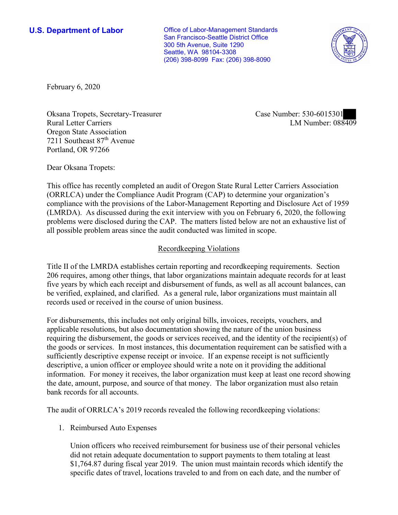**U.S. Department of Labor Conservative Conservative Conservative Conservative U.S.** Department of Labor San Francisco-Seattle District Office 300 5th Avenue, Suite 1290 Seattle, WA 98104-3308 (206) 398-8099 Fax: (206) 398-8090



February 6, 2020

■ Rural Letter Carriers LM Number: 088409 Oksana Tropets, Secretary-Treasurer Case Number: 530-6015301 Oregon State Association 7211 Southeast 87<sup>th</sup> Avenue Portland, OR 97266

Dear Oksana Tropets:

 This office has recently completed an audit of Oregon State Rural Letter Carriers Association (ORRLCA) under the Compliance Audit Program (CAP) to determine your organization's compliance with the provisions of the Labor-Management Reporting and Disclosure Act of 1959 (LMRDA). As discussed during the exit interview with you on February 6, 2020, the following problems were disclosed during the CAP. The matters listed below are not an exhaustive list of all possible problem areas since the audit conducted was limited in scope.

## Recordkeeping Violations

 Title II of the LMRDA establishes certain reporting and recordkeeping requirements. Section 206 requires, among other things, that labor organizations maintain adequate records for at least five years by which each receipt and disbursement of funds, as well as all account balances, can be verified, explained, and clarified. As a general rule, labor organizations must maintain all records used or received in the course of union business.

For disbursements, this includes not only original bills, invoices, receipts, vouchers, and applicable resolutions, but also documentation showing the nature of the union business requiring the disbursement, the goods or services received, and the identity of the recipient(s) of the goods or services. In most instances, this documentation requirement can be satisfied with a sufficiently descriptive expense receipt or invoice. If an expense receipt is not sufficiently descriptive, a union officer or employee should write a note on it providing the additional information. For money it receives, the labor organization must keep at least one record showing the date, amount, purpose, and source of that money. The labor organization must also retain bank records for all accounts.

The audit of ORRLCA's 2019 records revealed the following recordkeeping violations:

1. Reimbursed Auto Expenses

Union officers who received reimbursement for business use of their personal vehicles did not retain adequate documentation to support payments to them totaling at least \$[1,764.87](https://1,764.87) during fiscal year 2019. The union must maintain records which identify the specific dates of travel, locations traveled to and from on each date, and the number of